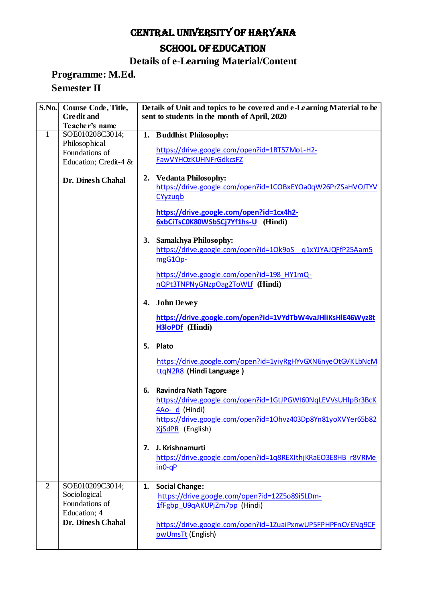# CENTRAL UNIVERSITY OF HARYANA SCHOOL OF EDUCATION

## **Details of e-Learning Material/Content**

#### **Programme: M.Ed. Semester II**

| <b>S.No.</b>   | Course Code, Title,                 | Details of Unit and topics to be covered and e-Learning Material to be                                                                                                                                  |
|----------------|-------------------------------------|---------------------------------------------------------------------------------------------------------------------------------------------------------------------------------------------------------|
|                | <b>Credit and</b><br>Teacher's name | sent to students in the month of April, 2020                                                                                                                                                            |
| 1              | SOE010208C3014;                     | <b>Buddhist Philosophy:</b><br>1.                                                                                                                                                                       |
|                | Philosophical                       |                                                                                                                                                                                                         |
|                | Foundations of                      | https://drive.google.com/open?id=1RT57MoL-H2-                                                                                                                                                           |
|                | Education; Credit-4 &               | FawVYHOzKUHNFrGdkcsFZ                                                                                                                                                                                   |
|                |                                     |                                                                                                                                                                                                         |
|                | Dr. Dinesh Chahal                   | 2. Vedanta Philosophy:<br>https://drive.google.com/open?id=1COBxEYOa0qW26PrZSaHVOJTYV<br>CYyzugb                                                                                                        |
|                |                                     | https://drive.google.com/open?id=1cx4h2-<br>6xbCiTsC0K80WSb5Cj7Yf1hs-U (Hindi)                                                                                                                          |
|                |                                     | <b>Samakhya Philosophy:</b><br>3.<br>https://drive.google.com/open?id=1Ok9oS_q1xYJYAJQFfP25Aam5<br>mgG1Qp-                                                                                              |
|                |                                     | https://drive.google.com/open?id=198_HY1mQ-<br>nQPt3TNPNyGNzpOag2ToWLf (Hindi)                                                                                                                          |
|                |                                     | <b>John De we y</b><br>4.                                                                                                                                                                               |
|                |                                     | https://drive.google.com/open?id=1VYdTbW4vaJHliKsHlE46Wyz8t<br>H3loPDf (Hindi)                                                                                                                          |
|                |                                     | Plato<br>5.                                                                                                                                                                                             |
|                |                                     | https://drive.google.com/open?id=1yiyRgHYvGXN6nyeOtGVKLbNcM<br>ttqN2R8 (Hindi Language)                                                                                                                 |
|                |                                     | <b>Ravindra Nath Tagore</b><br>6.<br>https://drive.google.com/open?id=1GtJPGWI60NqLEVVsUHlpBr3BcK<br>4Ao- d (Hindi)<br>https://drive.google.com/open?id=1Ohvz403Dp8Yn81yoXVYer65b82<br>XjSdPR (English) |
|                |                                     | J. Krishnamurti<br>7.<br>https://drive.google.com/open?id=1q8REXIthjKRaEO3E8HB_r8VRMe<br>$in 0-qP$                                                                                                      |
| $\overline{2}$ | SOE010209C3014;                     | <b>Social Change:</b><br>1.                                                                                                                                                                             |
|                | Sociological                        | https://drive.google.com/open?id=12Z5o89i5LDm-                                                                                                                                                          |
|                | Foundations of                      | 1fFgbp_U9qAKUPjZm7pp (Hindi)                                                                                                                                                                            |
|                | Education; 4                        |                                                                                                                                                                                                         |
|                | Dr. Dinesh Chahal                   | https://drive.google.com/open?id=1ZuaiPxnwUP5FPHPFnCVENq9CF<br>pwUmsTt (English)                                                                                                                        |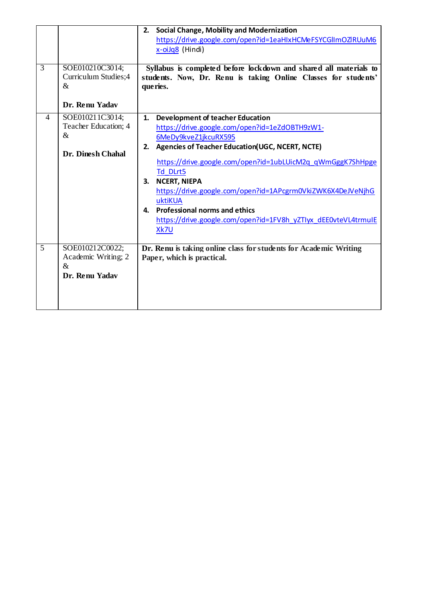| https://drive.google.com/open?id=1eaHIxHCMeFSYCGlImOZIRUuM6                                            |  |
|--------------------------------------------------------------------------------------------------------|--|
| x-oiJq8 (Hindi)                                                                                        |  |
|                                                                                                        |  |
| 3<br>SOE010210C3014;<br>Syllabus is completed before lockdown and shared all materials to              |  |
| Curriculum Studies;4<br>students. Now, Dr. Renu is taking Online Classes for students'                 |  |
| $\&$<br>que ries.                                                                                      |  |
|                                                                                                        |  |
| Dr. Renu Yadav                                                                                         |  |
| SOE010211C3014;<br>4<br><b>Development of teacher Education</b><br>1.                                  |  |
| Teacher Education; 4<br>https://drive.google.com/open?id=1eZdOBTH9zW1-                                 |  |
| &<br>6MeDy9kveZ1jkcuRX595                                                                              |  |
| <b>Agencies of Teacher Education (UGC, NCERT, NCTE)</b><br>2.                                          |  |
| <b>Dr. Dinesh Chahal</b>                                                                               |  |
| https://drive.google.com/open?id=1ubLUicM2q_qWmGggK7ShHpge                                             |  |
| Td DLrt5                                                                                               |  |
| <b>NCERT, NIEPA</b><br>3.                                                                              |  |
| https://drive.google.com/open?id=1APcgrm0VkiZWK6X4DeJVeNjhG                                            |  |
| uktiKUA                                                                                                |  |
| <b>Professional norms and ethics</b><br>4.                                                             |  |
| https://drive.google.com/open?id=1FV8h_yZTIyx_dEE0vteVL4trmuIE                                         |  |
| Xk7U                                                                                                   |  |
|                                                                                                        |  |
| $\overline{5}$<br>SOE010212C0022;<br>Dr. Renu is taking online class for students for Academic Writing |  |
| Academic Writing; 2<br>Paper, which is practical.                                                      |  |
| $\&$                                                                                                   |  |
| Dr. Renu Yadav                                                                                         |  |
|                                                                                                        |  |
|                                                                                                        |  |
|                                                                                                        |  |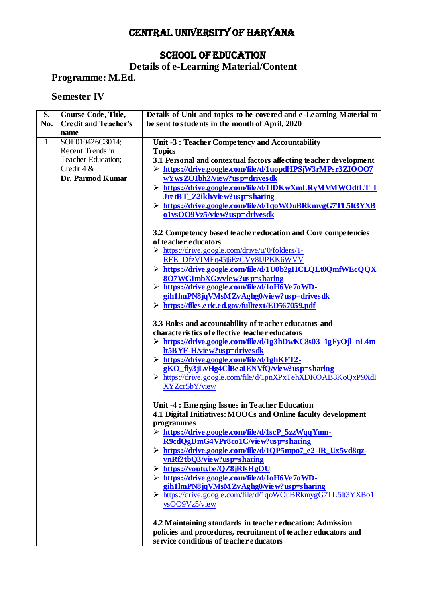## CENTRAL UNIVERSITY OF HARYANA

## SCHOOL OF EDUCATION

#### **Details of e-Learning Material/Content**

**Programme: M.Ed.** 

## **Semester IV**

| $\overline{\mathbf{S}}$ . | Course Code, Title,         | Details of Unit and topics to be covered and e-Learning Material to                        |
|---------------------------|-----------------------------|--------------------------------------------------------------------------------------------|
| No.                       | <b>Credit and Teacher's</b> | be sent to students in the month of April, 2020                                            |
|                           | name                        |                                                                                            |
| $\mathbf{1}$              | SOE010426C3014;             | Unit -3 : Teacher Competency and Accountability                                            |
|                           | Recent Trends in            | <b>Topics</b>                                                                              |
|                           | Teacher Education;          | 3.1 Personal and contextual factors affecting teacher development                          |
|                           | Credit $4 &$                | > https://drive.google.com/file/d/1uopdHPSjW3rMPsr3ZIOOO7                                  |
|                           | Dr. Parmod Kumar            | wYwsZOIbh2/view?usp=drivesdk                                                               |
|                           |                             | > https://drive.google.com/file/d/1IDKwXmLRyMVMWOdtLT_I                                    |
|                           |                             |                                                                                            |
|                           |                             | JretBT_Z2ikh/view?usp=sharing<br>> https://drive.google.com/file/d/1qoWOuBRkmygG7TL5lt3YXB |
|                           |                             | o1vsOO9Vz5/view?usp=drivesdk                                                               |
|                           |                             |                                                                                            |
|                           |                             |                                                                                            |
|                           |                             | 3.2 Competency based teacher education and Core competencies                               |
|                           |                             | of teacher educators                                                                       |
|                           |                             | $\triangleright$ https://drive.google.com/drive/u/0/folders/1-                             |
|                           |                             | REE DfzVIMEq45j6EzCVy8IJPKK6WVV                                                            |
|                           |                             | > https://drive.google.com/file/d/1U0b2gHCLQLt0QmfWEcQQX                                   |
|                           |                             | 8O7WGImbXGz/view?usp=sharing                                                               |
|                           |                             | > https://drive.google.com/file/d/1oH6Ve7oWD-                                              |
|                           |                             | gih1lmPN8jqVMsMZvAghg0/view?usp=drivesdk                                                   |
|                           |                             | > https://files.eric.ed.gov/fulltext/ED567059.pdf                                          |
|                           |                             |                                                                                            |
|                           |                             | 3.3 Roles and accountability of teacher educators and                                      |
|                           |                             | characteristics of effective teacher educators                                             |
|                           |                             | > https://drive.google.com/file/d/1g3hDwKC8s03_1gFyOjl_nL4m                                |
|                           |                             | lt5BYF-H/view?usp=drivesdk                                                                 |
|                           |                             | > https://drive.google.com/file/d/1ghKFT2-                                                 |
|                           |                             | gKO_fly3jLvHg4ClBeaIENVfQ/view?usp=sharing                                                 |
|                           |                             | > https://drive.google.com/file/d/1pnXPxTehXDKOAB8KoQxP9XdI                                |
|                           |                             | XYZcr5bY/view                                                                              |
|                           |                             |                                                                                            |
|                           |                             | Unit -4 : Emerging Issues in Teacher Education                                             |
|                           |                             | 4.1 Digital Initiatives: MOOCs and Online faculty development                              |
|                           |                             | programmes                                                                                 |
|                           |                             | > https://drive.google.com/file/d/1scP_5zzWqqYmn-                                          |
|                           |                             | R9cdQgDmG4VPr8co1C/view?usp=sharing                                                        |
|                           |                             | > https://drive.google.com/file/d/1QP5mpo7 e2-IR Ux5vd8qz-                                 |
|                           |                             | vnRf2tbQ3/view?usp=sharing                                                                 |
|                           |                             | > https://youtu.be/QZ8jRfsHgOU                                                             |
|                           |                             | $\triangleright$ https://drive.google.com/file/d/1oH6Ve7oWD-                               |
|                           |                             | gih1lmPN8jqVMsMZvAghg0/view?usp=sharing                                                    |
|                           |                             | > https://drive.google.com/file/d/1qoWOuBRkmygG7TL5lt3YXBo1                                |
|                           |                             | vsOO9Vz5/view                                                                              |
|                           |                             |                                                                                            |
|                           |                             | 4.2 Maintaining standards in teacher education: Admission                                  |
|                           |                             | policies and procedures, recruitment of teacher educators and                              |
|                           |                             | service conditions of teacher educators                                                    |
|                           |                             |                                                                                            |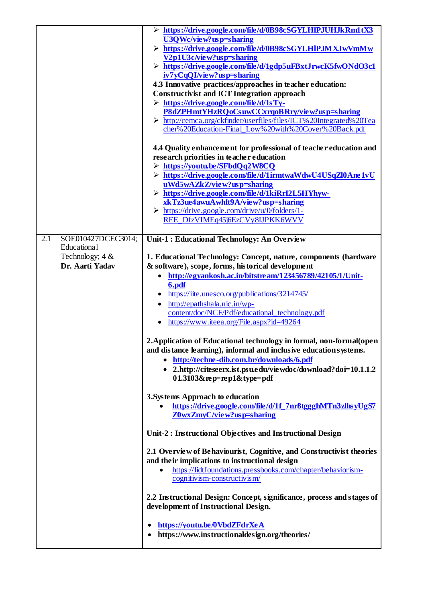|                                                                                  | > https://drive.google.com/file/d/0B98cSGYLHIPJUHJkRm1tX3<br>$U3Q$ Wc/view?us p=sharing<br>> https://drive.google.com/file/d/0B98cSGYLHIPJMXJwVmMw<br>V <sub>2</sub> p1U <sub>3</sub> c/view?usp=sharing<br>> https://drive.google.com/file/d/1gdp5uFBxtJrwcK5fwONdO3c1<br>iv7yCqQI/view?usp=sharing<br>4.3 Innovative practices/approaches in teacher education:<br><b>Constructivist and ICT Integration approach</b><br>$\triangleright$ https://drive.google.com/file/d/1sTy-<br>P8dZPHmtYHzRQoCsuwCCxrqoBRry/view?usp=sharing<br>> http://cemca.org/ckfinder/userfiles/files/ICT% 20Integrated% 20Tea<br>cher% 20Education-Final_Low% 20with% 20Cover% 20Back.pdf<br>4.4 Quality enhancement for professional of teacher education and<br>research priorities in teacher education<br>> https://youtu.be/SFbdQq2W8CQ<br>> https://drive.google.com/file/d/1irmtwaWdwU4USqZl0Ane1vU<br>uWd5wAZkZ/view?usp=sharing<br>> https://drive.google.com/file/d/1kiRrI2L5HYhyw-                                                                                                                                                                                                                                                                                                                                                                                               |
|----------------------------------------------------------------------------------|--------------------------------------------------------------------------------------------------------------------------------------------------------------------------------------------------------------------------------------------------------------------------------------------------------------------------------------------------------------------------------------------------------------------------------------------------------------------------------------------------------------------------------------------------------------------------------------------------------------------------------------------------------------------------------------------------------------------------------------------------------------------------------------------------------------------------------------------------------------------------------------------------------------------------------------------------------------------------------------------------------------------------------------------------------------------------------------------------------------------------------------------------------------------------------------------------------------------------------------------------------------------------------------------------------------------------------------------------------------------------|
|                                                                                  | xkTz3ue4awuAwhft9A/view?usp=sharing<br>$\triangleright$ https://drive.google.com/drive/u/0/folders/1-<br>REE_DfzVIMEq45j6EzCVy8IJPKK6WVV                                                                                                                                                                                                                                                                                                                                                                                                                                                                                                                                                                                                                                                                                                                                                                                                                                                                                                                                                                                                                                                                                                                                                                                                                                 |
| 2.1<br>SOE010427DCEC3014;<br>Educational<br>Technology; $4 &$<br>Dr. Aarti Yadav | Unit-1 : Educational Technology: An Overview<br>1. Educational Technology: Concept, nature, components (hardware<br>& software), scope, forms, historical development<br>http://egyankosh.ac.in/bitstream/123456789/42105/1/Unit-<br>$\bullet$<br>6.pdf<br>https://iite.unesco.org/publications/3214745/<br>http://epathshala.nic.in/wp-<br>content/doc/NCF/Pdf/educational technology.pdf<br>https://www.iteea.org/File.aspx?id=49264<br>$\bullet$<br>2. Application of Educational technology in formal, non-formal (open<br>and distance learning), informal and inclusive education systems.<br>http://techne-dib.com.br/downloads/6.pdf<br>2.http://citeseerx.ist.psu.edu/viewdoc/download?doi=10.1.1.2<br>$01.3103$ &rep=rep1&type=pdf<br>3. Systems Approach to education<br>https://drive.google.com/file/d/1f_7nr8tggghMTn3zlhsyUgS7<br>Z0wxZmyC/view?usp=sharing<br>Unit-2 : Instructional Objectives and Instructional Design<br>2.1 Overview of Behaviourist, Cognitive, and Constructivist theories<br>and their implications to instructional design<br>https://lidtfoundations.pressbooks.com/chapter/behaviorism-<br>cognitivism-constructivism/<br>2.2 Instructional Design: Concept, significance, process and stages of<br>development of Instructional Design.<br>https://youtu.be/0VbdZFdrXeA<br>٠<br>https://www.instructionaldesign.org/theories/ |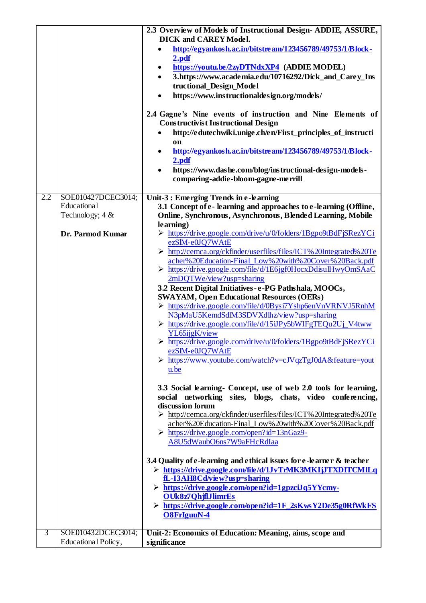|     |                     | 2.3 Overview of Models of Instructional Design-ADDIE, ASSURE,                                                                  |
|-----|---------------------|--------------------------------------------------------------------------------------------------------------------------------|
|     |                     | <b>DICK and CAREY Model.</b>                                                                                                   |
|     |                     | http://egyankosh.ac.in/bitstream/123456789/49753/1/Block-                                                                      |
|     |                     | 2.pdf                                                                                                                          |
|     |                     | https://youtu.be/2zyDTNdxXP4 (ADDIE MODEL)                                                                                     |
|     |                     | 3.https://www.academia.edu/10716292/Dick_and_Carey_Ins                                                                         |
|     |                     | tructional_Design_Model                                                                                                        |
|     |                     | https://www.instructionaldesign.org/models/<br>$\bullet$                                                                       |
|     |                     | 2.4 Gagne's Nine events of instruction and Nine Elements of                                                                    |
|     |                     | <b>Constructivist Instructional Design</b>                                                                                     |
|     |                     | http://edutechwiki.unige.ch/en/First_principles_of_instructi                                                                   |
|     |                     | <sub>on</sub><br>http://egyankosh.ac.in/bitstream/123456789/49753/1/Block-                                                     |
|     |                     | 2.pdf                                                                                                                          |
|     |                     | https://www.dashe.com/blog/instructional-design-models-                                                                        |
|     |                     | comparing-addie-bloom-gagne-merrill                                                                                            |
| 2.2 | SOE010427DCEC3014;  | Unit-3 : Emerging Trends in e-learning                                                                                         |
|     | Educational         | 3.1 Concept of e-learning and approaches to e-learning (Offline,                                                               |
|     | Technology; 4 &     | Online, Synchronous, Asynchronous, Blended Learning, Mobile                                                                    |
|     |                     | learning)                                                                                                                      |
|     | Dr. Parmod Kumar    | https://drive.google.com/drive/u/0/folders/1Bgpo9tBdFjSRezYCi                                                                  |
|     |                     | ezSlM-e0JQ7WAtE                                                                                                                |
|     |                     | > http://cemca.org/ckfinder/userfiles/files/ICT% 20Integrated% 20Te<br>acher%20Education-Final_Low%20with%20Cover%20Back.pdf   |
|     |                     | > https://drive.google.com/file/d/1E6jgf0HocxDdisulHwyOmSAaC                                                                   |
|     |                     | 2mDQTWe/view?usp=sharing                                                                                                       |
|     |                     | 3.2 Recent Digital Initiatives - e-PG Pathshala, MOOCs,                                                                        |
|     |                     | <b>SWAYAM, Open Educational Resources (OERs)</b>                                                                               |
|     |                     | > https://drive.google.com/file/d/0Bysi7Yshp6enVnVRNVJ5RnhM                                                                    |
|     |                     | N3pMaU5KemdSdlM3SDVXdlhz/view?usp=sharing                                                                                      |
|     |                     | > https://drive.google.com/file/d/15iJPy5bWIFgTEQu2Uj_V4tww                                                                    |
|     |                     | YL65ijgK/view<br>> https://drive.google.com/drive/u/0/folders/1Bgpo9tBdFjSRezYCi                                               |
|     |                     | ezSlM-e0JQ7WAtE                                                                                                                |
|     |                     | > https://www.youtube.com/watch?v=cJVqzTgJ0dA&feature=yout                                                                     |
|     |                     | u.be                                                                                                                           |
|     |                     |                                                                                                                                |
|     |                     | 3.3 Social learning- Concept, use of web 2.0 tools for learning,<br>social networking sites, blogs, chats, video conferencing, |
|     |                     | discussion forum                                                                                                               |
|     |                     | > http://cemca.org/ckfinder/userfiles/files/ICT% 20Integrated% 20Te                                                            |
|     |                     | acher%20Education-Final_Low%20with%20Cover%20Back.pdf                                                                          |
|     |                     | $\triangleright$ https://drive.google.com/open?id=13nGaz9-                                                                     |
|     |                     | A8U5dWaubO6ns7W9aFHcRdIaa                                                                                                      |
|     |                     | 3.4 Quality of e-learning and ethical issues for e-learner & teacher                                                           |
|     |                     | > https://drive.google.com/file/d/1JvTrMK3MKIjJTXDITCMILq                                                                      |
|     |                     | fL-I3AH8Cd/view?usp=sharing                                                                                                    |
|     |                     | > https://drive.google.com/open?id=1gpzciJq5YYcmy-                                                                             |
|     |                     | <b>OUk8z7QhjflJlimrEs</b>                                                                                                      |
|     |                     | > https://drive.google.com/open?id=1F_2sKwsY2De35g0RfWkFS                                                                      |
|     |                     | <b>O8FrIguuN-4</b>                                                                                                             |
| 3   | SOE010432DCEC3014;  | Unit-2: Economics of Education: Meaning, aims, scope and                                                                       |
|     | Educational Policy, | significance                                                                                                                   |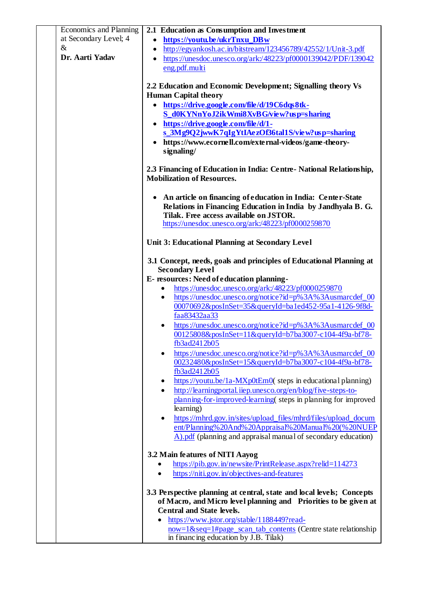|      | Economics and Planning | 2.1 Education as Consumption and Investment                                                                            |
|------|------------------------|------------------------------------------------------------------------------------------------------------------------|
|      | at Secondary Level; 4  | https://youtu.be/ukrTnxu_DBw<br>$\bullet$                                                                              |
| $\&$ |                        | http://egyankosh.ac.in/bitstream/123456789/42552/1/Unit-3.pdf<br>$\bullet$                                             |
|      | Dr. Aarti Yadav        | https://unesdoc.unesco.org/ark:/48223/pf0000139042/PDF/139042<br>$\bullet$                                             |
|      |                        | eng.pdf.multi                                                                                                          |
|      |                        | 2.2 Education and Economic Development; Signalling theory Vs                                                           |
|      |                        | <b>Human Capital theory</b>                                                                                            |
|      |                        | https://drive.google.com/file/d/19C6dqs8tk-                                                                            |
|      |                        | S_d0KYNnYoJ2ikWmi8XvBG/view?usp=sharing                                                                                |
|      |                        | $\bullet$ https://drive.google.com/file/d/1-                                                                           |
|      |                        | s_3Mg9Q2jwwK7qIgYtIAezOf36tal1S/view?usp=sharing                                                                       |
|      |                        | https://www.ecornell.com/external-videos/game-theory-                                                                  |
|      |                        | signaling/                                                                                                             |
|      |                        |                                                                                                                        |
|      |                        | 2.3 Financing of Education in India: Centre-National Relationship,                                                     |
|      |                        | <b>Mobilization of Resources.</b>                                                                                      |
|      |                        | An article on financing of education in India: Center-State                                                            |
|      |                        | Relations in Financing Education in India by Jandhyala B. G.                                                           |
|      |                        | Tilak. Free access available on JSTOR.                                                                                 |
|      |                        | https://unesdoc.unesco.org/ark:/48223/pf0000259870                                                                     |
|      |                        |                                                                                                                        |
|      |                        | Unit 3: Educational Planning at Secondary Level                                                                        |
|      |                        |                                                                                                                        |
|      |                        | 3.1 Concept, needs, goals and principles of Educational Planning at<br><b>Secondary Level</b>                          |
|      |                        | E-resources: Need of education planning-                                                                               |
|      |                        | https://unesdoc.unesco.org/ark:/48223/pf0000259870<br>٠                                                                |
|      |                        | https://unesdoc.unesco.org/notice?id=p%3A%3Ausmarcdef_00<br>٠                                                          |
|      |                        | 00070692&posInSet=35&queryId=ba1ed452-95a1-4126-9f8d-                                                                  |
|      |                        | faa83432aa33                                                                                                           |
|      |                        | https://unesdoc.unesco.org/notice?id=p%3A%3Ausmarcdef_00<br>$\bullet$                                                  |
|      |                        | 00125808&posInSet=11&queryId=b7ba3007-c104-4f9a-bf78-                                                                  |
|      |                        | fb3ad2412b05                                                                                                           |
|      |                        | https://unesdoc.unesco.org/notice?id=p%3A%3Ausmarcdef_00<br>٠<br>00232480&posInSet=15&queryId=b7ba3007-c104-4f9a-bf78- |
|      |                        | fb3ad2412b05                                                                                                           |
|      |                        | https://youtu.be/1a-MXp0tEm0( steps in educational planning)<br>٠                                                      |
|      |                        | http://learningportal.iiep.unesco.org/en/blog/five-steps-to-<br>$\bullet$                                              |
|      |                        | planning-for-improved-learning(steps in planning for improved                                                          |
|      |                        | learning)                                                                                                              |
|      |                        | https://mhrd.gov.in/sites/upload_files/mhrd/files/upload_docum<br>٠                                                    |
|      |                        | ent/Planning%20And%20Appraisal%20Manual%20(%20NUEP                                                                     |
|      |                        | $\overline{A}$ ). pdf (planning and appraisal manual of secondary education)                                           |
|      |                        | 3.2 Main features of NITI Aayog                                                                                        |
|      |                        | https://pib.gov.in/newsite/PrintRelease.aspx?relid=114273                                                              |
|      |                        | https://niti.gov.in/objectives-and-features                                                                            |
|      |                        |                                                                                                                        |
|      |                        | 3.3 Perspective planning at central, state and local levels; Concepts                                                  |
|      |                        | of Macro, and Micro level planning and Priorities to be given at                                                       |
|      |                        | <b>Central and State levels.</b>                                                                                       |
|      |                        | https://www.jstor.org/stable/1188449?read-                                                                             |
|      |                        | now=1&seq=1#page_scan_tab_contents (Centre state relationship                                                          |
|      |                        | in financing education by J.B. Tilak)                                                                                  |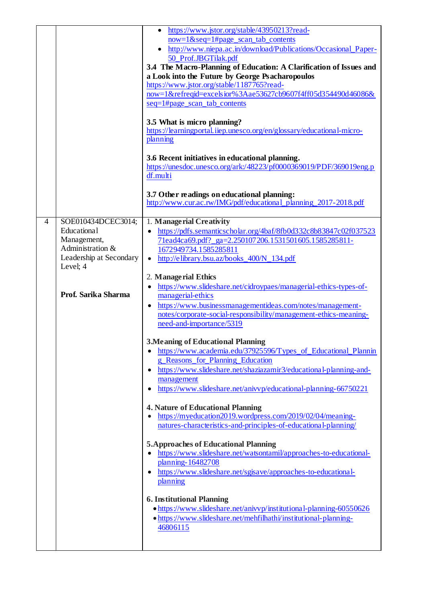|   |                         | https://www.jstor.org/stable/43950213?read-                                                             |
|---|-------------------------|---------------------------------------------------------------------------------------------------------|
|   |                         | $now=1$ &seq=1#page_scan_tab_contents                                                                   |
|   |                         | http://www.niepa.ac.in/download/Publications/Occasional_Paper-<br>$\bullet$                             |
|   |                         | 50_Prof.JBGTilak.pdf                                                                                    |
|   |                         | 3.4 The Macro-Planning of Education: A Clarification of Issues and                                      |
|   |                         | a Look into the Future by George Psacharopoulos                                                         |
|   |                         | https://www.jstor.org/stable/1187765?read-                                                              |
|   |                         | now=1&refreqid=excelsior%3Aae53627cb9607f4ff05d354490d46086&                                            |
|   |                         | seq=1#page_scan_tab_contents                                                                            |
|   |                         |                                                                                                         |
|   |                         | 3.5 What is micro planning?                                                                             |
|   |                         | https://learningportal.iiep.unesco.org/en/glossary/educational-micro-                                   |
|   |                         | planning                                                                                                |
|   |                         |                                                                                                         |
|   |                         | 3.6 Recent initiatives in educational planning.                                                         |
|   |                         | https://unesdoc.unesco.org/ark:/48223/pf0000369019/PDF/369019eng.p                                      |
|   |                         | df.multi                                                                                                |
|   |                         |                                                                                                         |
|   |                         | 3.7 Other readings on educational planning:                                                             |
|   |                         | http://www.cur.ac.rw/IMG/pdf/educational_planning_2017-2018.pdf                                         |
|   |                         |                                                                                                         |
| 4 | SOE010434DCEC3014;      | 1. Managerial Creativity                                                                                |
|   | Educational             | https://pdfs.semanticscholar.org/4baf/8fb0d332c8b83847c02f037523                                        |
|   | Management,             | 71ead4ca69.pdf?_ga=2.250107206.1531501605.1585285811-                                                   |
|   | Administration &        | 1672949734.1585285811                                                                                   |
|   | Leadership at Secondary | http://elibrary.bsu.az/books_400/N_134.pdf<br>$\bullet$                                                 |
|   | Level; 4                |                                                                                                         |
|   |                         | 2. Manage rial Ethics                                                                                   |
|   |                         | https://www.slideshare.net/cidroypaes/managerial-ethics-types-of-<br>$\bullet$                          |
|   | Prof. Sarika Sharma     | managerial-ethics                                                                                       |
|   |                         | https://www.businessmanagementideas.com/notes/management-<br>$\bullet$                                  |
|   |                         | notes/corporate-social-responsibility/management-ethics-meaning-                                        |
|   |                         | need-and-importance/5319                                                                                |
|   |                         |                                                                                                         |
|   |                         | <b>3. Meaning of Educational Planning</b>                                                               |
|   |                         | https://www.academia.edu/37925596/Types_of_Educational_Plannin                                          |
|   |                         | g_Reasons_for_Planning_Education                                                                        |
|   |                         | https://www.slideshare.net/shaziazamir3/educational-planning-and-<br>$\bullet$                          |
|   |                         | management                                                                                              |
|   |                         | https://www.slideshare.net/anivvp/educational-planning-66750221<br>$\bullet$                            |
|   |                         |                                                                                                         |
|   |                         | <b>4. Nature of Educational Planning</b><br>https://myeducation2019.wordpress.com/2019/02/04/meaning-   |
|   |                         | natures-characteristics-and-principles-of-educational-planning/                                         |
|   |                         |                                                                                                         |
|   |                         |                                                                                                         |
|   |                         | <b>5. Approaches of Educational Planning</b>                                                            |
|   |                         | https://www.slideshare.net/watsontamil/approaches-to-educational-<br>$\bullet$                          |
|   |                         | planning-16482708                                                                                       |
|   |                         | https://www.slideshare.net/sgisave/approaches-to-educational-<br>$\bullet$                              |
|   |                         | planning                                                                                                |
|   |                         |                                                                                                         |
|   |                         | <b>6. Institutional Planning</b><br>• https://www.slideshare.net/anivvp/institutional-planning-60550626 |
|   |                         | · https://www.slideshare.net/mehfilhathi/institutional-planning-                                        |
|   |                         | 46806115                                                                                                |
|   |                         |                                                                                                         |
|   |                         |                                                                                                         |
|   |                         |                                                                                                         |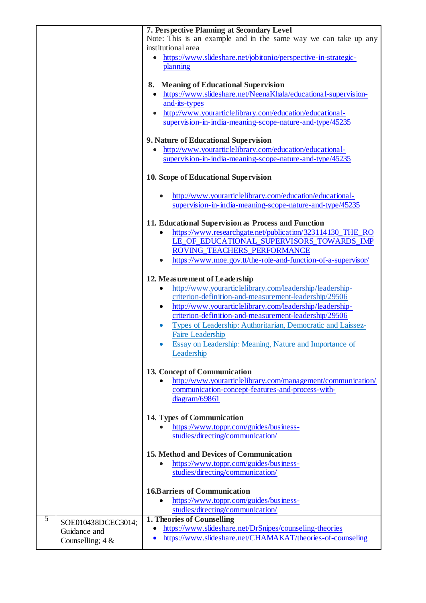|   |                    | 7. Perspective Planning at Secondary Level                                                                           |
|---|--------------------|----------------------------------------------------------------------------------------------------------------------|
|   |                    | Note: This is an example and in the same way we can take up any                                                      |
|   |                    | institutional area                                                                                                   |
|   |                    | https://www.slideshare.net/jobitonio/perspective-in-strategic-                                                       |
|   |                    | planning                                                                                                             |
|   |                    | 8. Meaning of Educational Supervision                                                                                |
|   |                    | • https://www.slideshare.net/NeenaKhala/educational-supervision-                                                     |
|   |                    | and-its-types                                                                                                        |
|   |                    | http://www.yourarticlelibrary.com/education/educational-                                                             |
|   |                    | supervision-in-india-meaning-scope-nature-and-type/45235                                                             |
|   |                    | 9. Nature of Educational Supervision                                                                                 |
|   |                    | http://www.yourarticlelibrary.com/education/educational-                                                             |
|   |                    | supervision-in-india-meaning-scope-nature-and-type/45235                                                             |
|   |                    | 10. Scope of Educational Supervision                                                                                 |
|   |                    |                                                                                                                      |
|   |                    | http://www.yourarticlelibrary.com/education/educational-<br>supervision-in-india-meaning-scope-nature-and-type/45235 |
|   |                    |                                                                                                                      |
|   |                    | 11. Educational Supervision as Process and Function                                                                  |
|   |                    | https://www.researchgate.net/publication/323114130_THE_RO                                                            |
|   |                    | LE_OF_EDUCATIONAL_SUPERVISORS_TOWARDS_IMP                                                                            |
|   |                    | ROVING_TEACHERS_PERFORMANCE                                                                                          |
|   |                    | https://www.moe.gov.tt/the-role-and-function-of-a-supervisor/                                                        |
|   |                    | 12. Measurement of Leadership                                                                                        |
|   |                    | http://www.yourarticlelibrary.com/leadership/leadership-                                                             |
|   |                    | criterion-definition-and-measurement-leadership/29506                                                                |
|   |                    | http://www.yourarticlelibrary.com/leadership/leadership-<br>٠                                                        |
|   |                    | criterion-definition-and-measurement-leadership/29506                                                                |
|   |                    | Types of Leadership: Authoritarian, Democratic and Laissez-<br>$\bullet$                                             |
|   |                    | <b>Faire Leadership</b>                                                                                              |
|   |                    | Essay on Leadership: Meaning, Nature and Importance of                                                               |
|   |                    | Leadership                                                                                                           |
|   |                    | 13. Concept of Communication                                                                                         |
|   |                    | http://www.yourarticlelibrary.com/management/communication/                                                          |
|   |                    | communication-concept-features-and-process-with-                                                                     |
|   |                    | diagram/69861                                                                                                        |
|   |                    | 14. Types of Communication                                                                                           |
|   |                    | https://www.toppr.com/guides/business-                                                                               |
|   |                    | studies/directing/communication/                                                                                     |
|   |                    |                                                                                                                      |
|   |                    | 15. Method and Devices of Communication                                                                              |
|   |                    | https://www.toppr.com/guides/business-                                                                               |
|   |                    | studies/directing/communication/                                                                                     |
|   |                    | <b>16.Barriers of Communication</b>                                                                                  |
|   |                    | https://www.toppr.com/guides/business-                                                                               |
|   |                    | studies/directing/communication/                                                                                     |
| 5 | SOE010438DCEC3014; | 1. Theories of Counselling                                                                                           |
|   | Guidance and       | https://www.slideshare.net/DrSnipes/counseling-theories<br>$\bullet$                                                 |
|   | Counselling; $4 &$ | https://www.slideshare.net/CHAMAKAT/theories-of-counseling<br>$\bullet$                                              |
|   |                    |                                                                                                                      |